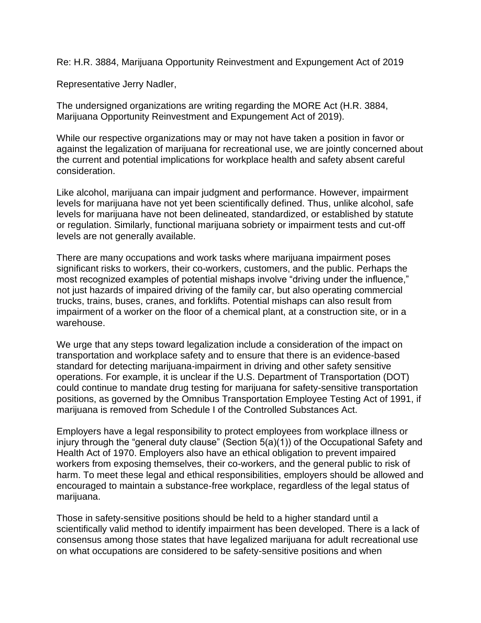Re: H.R. 3884, Marijuana Opportunity Reinvestment and Expungement Act of 2019

Representative Jerry Nadler,

The undersigned organizations are writing regarding the MORE Act (H.R. 3884, Marijuana Opportunity Reinvestment and Expungement Act of 2019).

While our respective organizations may or may not have taken a position in favor or against the legalization of marijuana for recreational use, we are jointly concerned about the current and potential implications for workplace health and safety absent careful consideration.

Like alcohol, marijuana can impair judgment and performance. However, impairment levels for marijuana have not yet been scientifically defined. Thus, unlike alcohol, safe levels for marijuana have not been delineated, standardized, or established by statute or regulation. Similarly, functional marijuana sobriety or impairment tests and cut-off levels are not generally available.

There are many occupations and work tasks where marijuana impairment poses significant risks to workers, their co-workers, customers, and the public. Perhaps the most recognized examples of potential mishaps involve "driving under the influence," not just hazards of impaired driving of the family car, but also operating commercial trucks, trains, buses, cranes, and forklifts. Potential mishaps can also result from impairment of a worker on the floor of a chemical plant, at a construction site, or in a warehouse.

We urge that any steps toward legalization include a consideration of the impact on transportation and workplace safety and to ensure that there is an evidence-based standard for detecting marijuana-impairment in driving and other safety sensitive operations. For example, it is unclear if the U.S. Department of Transportation (DOT) could continue to mandate drug testing for marijuana for safety-sensitive transportation positions, as governed by the Omnibus Transportation Employee Testing Act of 1991, if marijuana is removed from Schedule I of the Controlled Substances Act.

Employers have a legal responsibility to protect employees from workplace illness or injury through the "general duty clause" (Section 5(a)(1)) of the Occupational Safety and Health Act of 1970. Employers also have an ethical obligation to prevent impaired workers from exposing themselves, their co-workers, and the general public to risk of harm. To meet these legal and ethical responsibilities, employers should be allowed and encouraged to maintain a substance-free workplace, regardless of the legal status of marijuana.

Those in safety-sensitive positions should be held to a higher standard until a scientifically valid method to identify impairment has been developed. There is a lack of consensus among those states that have legalized marijuana for adult recreational use on what occupations are considered to be safety-sensitive positions and when